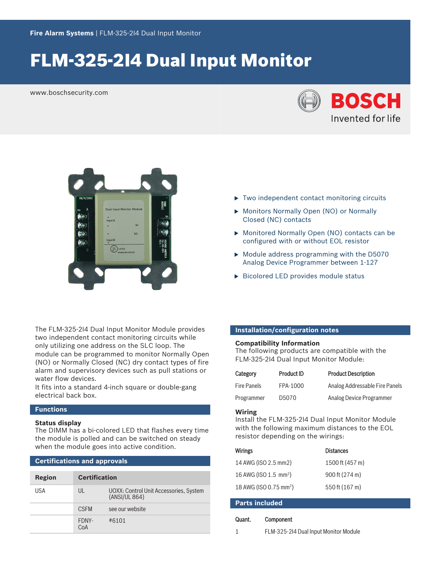# FLM‑325‑2I4 Dual Input Monitor

www.boschsecurity.com





The FLM‑325‑2I4 Dual Input Monitor Module provides two independent contact monitoring circuits while only utilizing one address on the SLC loop. The module can be programmed to monitor Normally Open (NO) or Normally Closed (NC) dry contact types of fire alarm and supervisory devices such as pull stations or water flow devices.

It fits into a standard 4-inch square or double-gang electrical back box.

# **Functions**

### **Status display**

The DIMM has a bi-colored LED that flashes every time the module is polled and can be switched on steady when the module goes into active condition.

### **Certifications and approvals**

| Region | <b>Certification</b> |                                                         |
|--------|----------------------|---------------------------------------------------------|
| USA    | $\mathsf{U}$         | UOXX: Control Unit Accessories, System<br>(ANSI/UL 864) |
|        | <b>CSEM</b>          | see our website                                         |
|        | FDNY-<br>CoA         | #6101                                                   |

- $\triangleright$  Two independent contact monitoring circuits
- Monitors Normally Open (NO) or Normally Closed (NC) contacts
- $\triangleright$  Monitored Normally Open (NO) contacts can be configured with or without EOL resistor
- $\triangleright$  Module address programming with the D5070 Analog Device Programmer between 1‑127
- $\triangleright$  Bicolored LED provides module status

# **Installation/configuration notes**

### **Compatibility Information**

The following products are compatible with the FLM‑325‑2I4 Dual Input Monitor Module:

| Category           | Product ID | <b>Product Description</b>     |
|--------------------|------------|--------------------------------|
| <b>Fire Panels</b> | FPA-1000   | Analog Addressable Fire Panels |
| Programmer         | D5070      | Analog Device Programmer       |

#### **Wiring**

Install the FLM‑325‑2I4 Dual Input Monitor Module with the following maximum distances to the EOL resistor depending on the wirings:

| <b>Wirings</b>                     | <b>Distances</b> |
|------------------------------------|------------------|
| 14 AWG (ISO 2.5 mm2)               | 1500 ft (457 m)  |
| 16 AWG (ISO 1.5 mm <sup>2</sup> )  | 900 ft (274 m)   |
| 18 AWG (ISO 0.75 mm <sup>2</sup> ) | 550 ft (167 m)   |

| <b>Parts included</b> |           |  |
|-----------------------|-----------|--|
| Quant.                | Component |  |

1 FLM‑325‑2I4 Dual Input Monitor Module